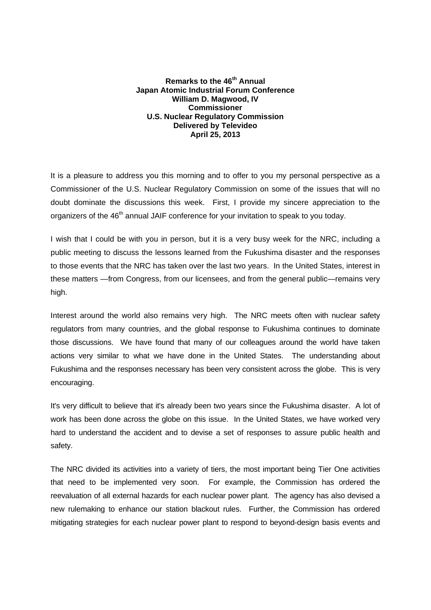## **Remarks to the 46<sup>th</sup> Annual Japan Atomic Industrial Forum Conference William D. Magwood, IV Commissioner U.S. Nuclear Regulatory Commission Delivered by Televideo April 25, 2013**

It is a pleasure to address you this morning and to offer to you my personal perspective as a Commissioner of the U.S. Nuclear Regulatory Commission on some of the issues that will no doubt dominate the discussions this week. First, I provide my sincere appreciation to the organizers of the 46<sup>th</sup> annual JAIF conference for your invitation to speak to you today.

I wish that I could be with you in person, but it is a very busy week for the NRC, including a public meeting to discuss the lessons learned from the Fukushima disaster and the responses to those events that the NRC has taken over the last two years. In the United States, interest in these matters —from Congress, from our licensees, and from the general public—remains very high.

Interest around the world also remains very high. The NRC meets often with nuclear safety regulators from many countries, and the global response to Fukushima continues to dominate those discussions. We have found that many of our colleagues around the world have taken actions very similar to what we have done in the United States. The understanding about Fukushima and the responses necessary has been very consistent across the globe. This is very encouraging.

It's very difficult to believe that it's already been two years since the Fukushima disaster. A lot of work has been done across the globe on this issue. In the United States, we have worked very hard to understand the accident and to devise a set of responses to assure public health and safety.

The NRC divided its activities into a variety of tiers, the most important being Tier One activities that need to be implemented very soon. For example, the Commission has ordered the reevaluation of all external hazards for each nuclear power plant. The agency has also devised a new rulemaking to enhance our station blackout rules. Further, the Commission has ordered mitigating strategies for each nuclear power plant to respond to beyond-design basis events and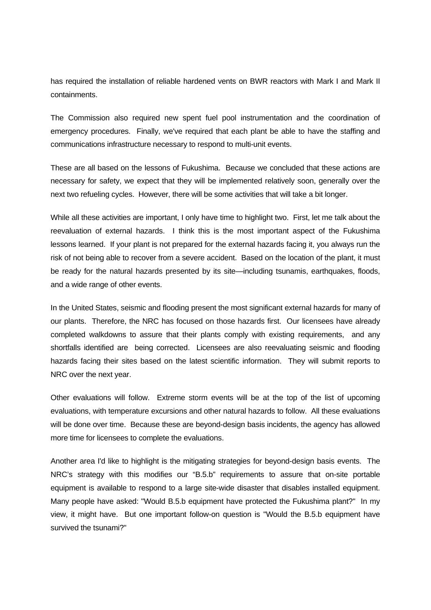has required the installation of reliable hardened vents on BWR reactors with Mark I and Mark II containments.

The Commission also required new spent fuel pool instrumentation and the coordination of emergency procedures. Finally, we've required that each plant be able to have the staffing and communications infrastructure necessary to respond to multi-unit events.

These are all based on the lessons of Fukushima. Because we concluded that these actions are necessary for safety, we expect that they will be implemented relatively soon, generally over the next two refueling cycles. However, there will be some activities that will take a bit longer.

While all these activities are important, I only have time to highlight two. First, let me talk about the reevaluation of external hazards. I think this is the most important aspect of the Fukushima lessons learned. If your plant is not prepared for the external hazards facing it, you always run the risk of not being able to recover from a severe accident. Based on the location of the plant, it must be ready for the natural hazards presented by its site—including tsunamis, earthquakes, floods, and a wide range of other events.

In the United States, seismic and flooding present the most significant external hazards for many of our plants. Therefore, the NRC has focused on those hazards first. Our licensees have already completed walkdowns to assure that their plants comply with existing requirements, and any shortfalls identified are being corrected. Licensees are also reevaluating seismic and flooding hazards facing their sites based on the latest scientific information. They will submit reports to NRC over the next year.

Other evaluations will follow. Extreme storm events will be at the top of the list of upcoming evaluations, with temperature excursions and other natural hazards to follow. All these evaluations will be done over time. Because these are beyond-design basis incidents, the agency has allowed more time for licensees to complete the evaluations.

Another area I'd like to highlight is the mitigating strategies for beyond-design basis events. The NRC's strategy with this modifies our "B.5.b" requirements to assure that on-site portable equipment is available to respond to a large site-wide disaster that disables installed equipment. Many people have asked: "Would B.5.b equipment have protected the Fukushima plant?" In my view, it might have. But one important follow-on question is "Would the B.5.b equipment have survived the tsunami?"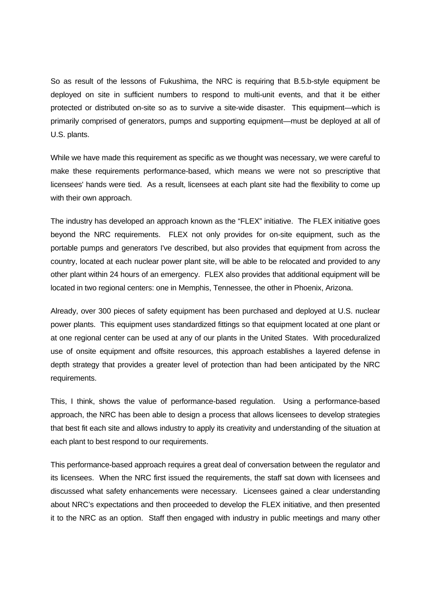So as result of the lessons of Fukushima, the NRC is requiring that B.5.b-style equipment be deployed on site in sufficient numbers to respond to multi-unit events, and that it be either protected or distributed on-site so as to survive a site-wide disaster. This equipment—which is primarily comprised of generators, pumps and supporting equipment—must be deployed at all of U.S. plants.

While we have made this requirement as specific as we thought was necessary, we were careful to make these requirements performance-based, which means we were not so prescriptive that licensees' hands were tied. As a result, licensees at each plant site had the flexibility to come up with their own approach.

The industry has developed an approach known as the "FLEX" initiative. The FLEX initiative goes beyond the NRC requirements. FLEX not only provides for on-site equipment, such as the portable pumps and generators I've described, but also provides that equipment from across the country, located at each nuclear power plant site, will be able to be relocated and provided to any other plant within 24 hours of an emergency. FLEX also provides that additional equipment will be located in two regional centers: one in Memphis, Tennessee, the other in Phoenix, Arizona.

Already, over 300 pieces of safety equipment has been purchased and deployed at U.S. nuclear power plants. This equipment uses standardized fittings so that equipment located at one plant or at one regional center can be used at any of our plants in the United States. With proceduralized use of onsite equipment and offsite resources, this approach establishes a layered defense in depth strategy that provides a greater level of protection than had been anticipated by the NRC requirements.

This, I think, shows the value of performance-based regulation. Using a performance-based approach, the NRC has been able to design a process that allows licensees to develop strategies that best fit each site and allows industry to apply its creativity and understanding of the situation at each plant to best respond to our requirements.

This performance-based approach requires a great deal of conversation between the regulator and its licensees. When the NRC first issued the requirements, the staff sat down with licensees and discussed what safety enhancements were necessary. Licensees gained a clear understanding about NRC's expectations and then proceeded to develop the FLEX initiative, and then presented it to the NRC as an option. Staff then engaged with industry in public meetings and many other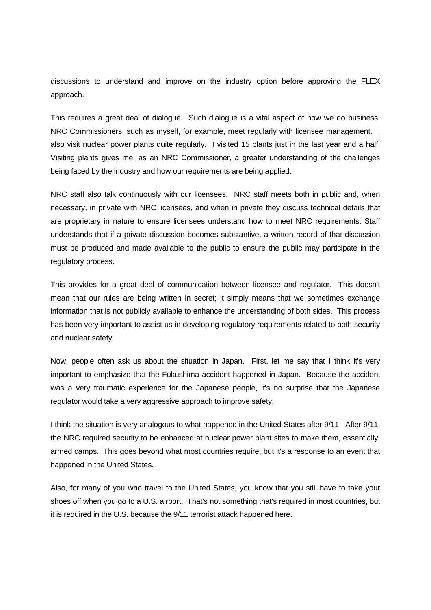discussions to understand and improve on the industry option before approving the FLEX approach.

This requires a great deal of dialogue. Such dialogue is a vital aspect of how we do business. NRC Commissioners, such as myself, for example, meet regularly with licensee management. I also visit nuclear power plants quite regularly. I visited 15 plants just in the last year and a half. Visiting plants gives me, as an NRC Commissioner, a greater understanding of the challenges being faced by the industry and how our requirements are being applied.

NRC staff also talk continuously with our licensees. NRC staff meets both in public and, when necessary, in private with NRC licensees, and when in private they discuss technical details that are proprietary in nature to ensure licensees understand how to meet NRC requirements. Staff understands that if a private discussion becomes substantive, a written record of that discussion must be produced and made available to the public to ensure the public may participate in the regulatory process.

This provides for a great deal of communication between licensee and regulator. This doesn't mean that our rules are being written in secret; it simply means that we sometimes exchange information that is not publicly available to enhance the understanding of both sides. This process has been very important to assist us in developing regulatory requirements related to both security and nuclear safety.

Now, people often ask us about the situation in Japan. First, let me say that I think it's very important to emphasize that the Fukushima accident happened in Japan. Because the accident was a very traumatic experience for the Japanese people, it's no surprise that the Japanese regulator would take a very aggressive approach to improve safety.

I think the situation is very analogous to what happened in the United States after 9/11. After 9/11, the NRC required security to be enhanced at nuclear power plant sites to make them, essentially, armed camps. This goes beyond what most countries require, but it's a response to an event that happened in the United States.

Also, for many of you who travel to the United States, you know that you still have to take your shoes off when you go to a U.S. airport. That's not something that's required in most countries, but it is required in the U.S. because the 9/11 terrorist attack happened here.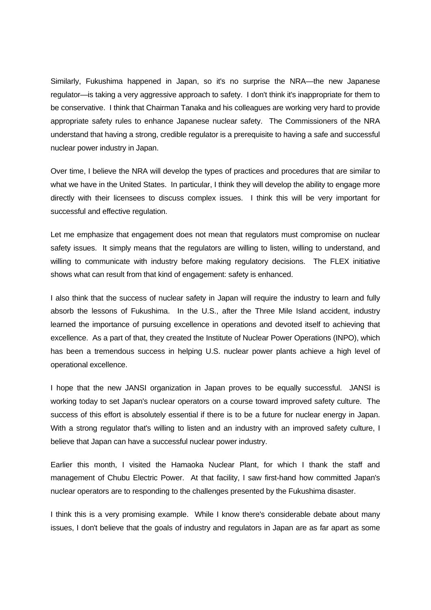Similarly, Fukushima happened in Japan, so it's no surprise the NRA—the new Japanese regulator—is taking a very aggressive approach to safety. I don't think it's inappropriate for them to be conservative. I think that Chairman Tanaka and his colleagues are working very hard to provide appropriate safety rules to enhance Japanese nuclear safety. The Commissioners of the NRA understand that having a strong, credible regulator is a prerequisite to having a safe and successful nuclear power industry in Japan.

Over time, I believe the NRA will develop the types of practices and procedures that are similar to what we have in the United States. In particular, I think they will develop the ability to engage more directly with their licensees to discuss complex issues. I think this will be very important for successful and effective regulation.

Let me emphasize that engagement does not mean that regulators must compromise on nuclear safety issues. It simply means that the regulators are willing to listen, willing to understand, and willing to communicate with industry before making regulatory decisions. The FLEX initiative shows what can result from that kind of engagement: safety is enhanced.

I also think that the success of nuclear safety in Japan will require the industry to learn and fully absorb the lessons of Fukushima. In the U.S., after the Three Mile Island accident, industry learned the importance of pursuing excellence in operations and devoted itself to achieving that excellence. As a part of that, they created the Institute of Nuclear Power Operations (INPO), which has been a tremendous success in helping U.S. nuclear power plants achieve a high level of operational excellence.

I hope that the new JANSI organization in Japan proves to be equally successful. JANSI is working today to set Japan's nuclear operators on a course toward improved safety culture. The success of this effort is absolutely essential if there is to be a future for nuclear energy in Japan. With a strong regulator that's willing to listen and an industry with an improved safety culture, I believe that Japan can have a successful nuclear power industry.

Earlier this month, I visited the Hamaoka Nuclear Plant, for which I thank the staff and management of Chubu Electric Power. At that facility, I saw first-hand how committed Japan's nuclear operators are to responding to the challenges presented by the Fukushima disaster.

I think this is a very promising example. While I know there's considerable debate about many issues, I don't believe that the goals of industry and regulators in Japan are as far apart as some